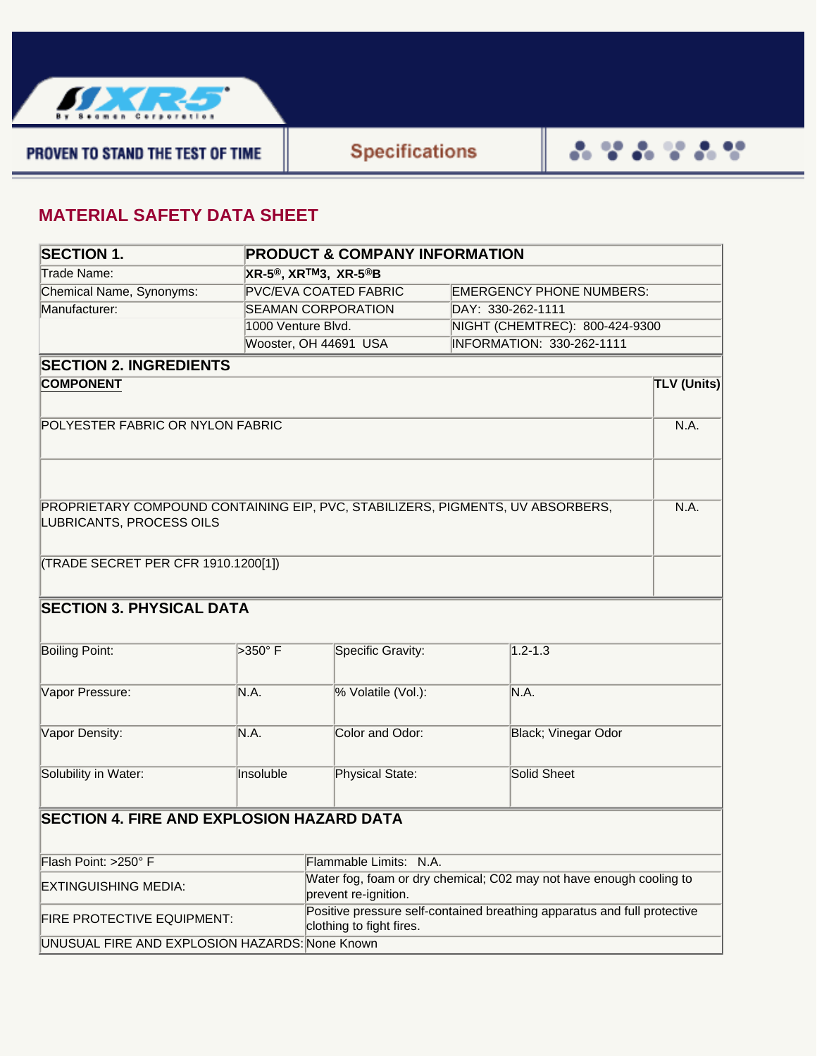

PROVEN TO STAND THE TEST OF TIME

## **MATERIAL SAFETY DATA SHEET**

| <b>SECTION 1.</b>                                                                      |                    | <b>PRODUCT &amp; COMPANY INFORMATION</b>                            |                                                                          |                                  |                    |  |  |
|----------------------------------------------------------------------------------------|--------------------|---------------------------------------------------------------------|--------------------------------------------------------------------------|----------------------------------|--------------------|--|--|
| Trade Name:                                                                            |                    | XR-5®, XR <sup>TM</sup> 3, XR-5®B                                   |                                                                          |                                  |                    |  |  |
| Chemical Name, Synonyms:                                                               |                    | <b>PVC/EVA COATED FABRIC</b>                                        |                                                                          | <b>EMERGENCY PHONE NUMBERS:</b>  |                    |  |  |
| Manufacturer:                                                                          |                    | <b>SEAMAN CORPORATION</b>                                           |                                                                          | DAY: 330-262-1111                |                    |  |  |
|                                                                                        | 1000 Venture Blvd. |                                                                     |                                                                          | NIGHT (CHEMTREC): 800-424-9300   |                    |  |  |
|                                                                                        |                    | Wooster, OH 44691 USA                                               |                                                                          | <b>INFORMATION: 330-262-1111</b> |                    |  |  |
| <b>SECTION 2. INGREDIENTS</b>                                                          |                    |                                                                     |                                                                          |                                  |                    |  |  |
| <b>COMPONENT</b>                                                                       |                    |                                                                     |                                                                          |                                  | <b>TLV (Units)</b> |  |  |
|                                                                                        |                    |                                                                     |                                                                          |                                  |                    |  |  |
| POLYESTER FABRIC OR NYLON FABRIC                                                       |                    |                                                                     |                                                                          |                                  |                    |  |  |
|                                                                                        |                    |                                                                     |                                                                          |                                  |                    |  |  |
|                                                                                        |                    |                                                                     |                                                                          |                                  |                    |  |  |
| PROPRIETARY COMPOUND CONTAINING EIP, PVC, STABILIZERS, PIGMENTS, UV ABSORBERS,<br>N.A. |                    |                                                                     |                                                                          |                                  |                    |  |  |
| LUBRICANTS, PROCESS OILS                                                               |                    |                                                                     |                                                                          |                                  |                    |  |  |
|                                                                                        |                    |                                                                     |                                                                          |                                  |                    |  |  |
| (TRADE SECRET PER CFR 1910.1200[1])                                                    |                    |                                                                     |                                                                          |                                  |                    |  |  |
|                                                                                        |                    |                                                                     |                                                                          |                                  |                    |  |  |
| <b>SECTION 3. PHYSICAL DATA</b>                                                        |                    |                                                                     |                                                                          |                                  |                    |  |  |
|                                                                                        |                    |                                                                     |                                                                          |                                  |                    |  |  |
| <b>Boiling Point:</b>                                                                  | >350°F             | Specific Gravity:                                                   |                                                                          | $1.2 - 1.3$                      |                    |  |  |
|                                                                                        |                    |                                                                     |                                                                          |                                  |                    |  |  |
| Vapor Pressure:                                                                        | N.A.               | % Volatile (Vol.):                                                  | N.A.                                                                     |                                  |                    |  |  |
|                                                                                        |                    |                                                                     |                                                                          |                                  |                    |  |  |
| Vapor Density:                                                                         | N.A.               | Color and Odor:                                                     |                                                                          | Black; Vinegar Odor              |                    |  |  |
|                                                                                        |                    |                                                                     |                                                                          |                                  |                    |  |  |
| Solubility in Water:                                                                   | Insoluble          | Physical State:                                                     |                                                                          | <b>Solid Sheet</b>               |                    |  |  |
|                                                                                        |                    |                                                                     |                                                                          |                                  |                    |  |  |
| <b>SECTION 4. FIRE AND EXPLOSION HAZARD DATA</b>                                       |                    |                                                                     |                                                                          |                                  |                    |  |  |
|                                                                                        |                    |                                                                     |                                                                          |                                  |                    |  |  |
| Flash Point: >250° F                                                                   |                    | Flammable Limits: N.A.                                              |                                                                          |                                  |                    |  |  |
| <b>EXTINGUISHING MEDIA:</b>                                                            |                    | Water fog, foam or dry chemical; C02 may not have enough cooling to |                                                                          |                                  |                    |  |  |
|                                                                                        |                    | prevent re-ignition.                                                |                                                                          |                                  |                    |  |  |
| <b>FIRE PROTECTIVE EQUIPMENT:</b>                                                      |                    | clothing to fight fires.                                            | Positive pressure self-contained breathing apparatus and full protective |                                  |                    |  |  |
| UNUSUAL FIRE AND EXPLOSION HAZARDS: None Known                                         |                    |                                                                     |                                                                          |                                  |                    |  |  |